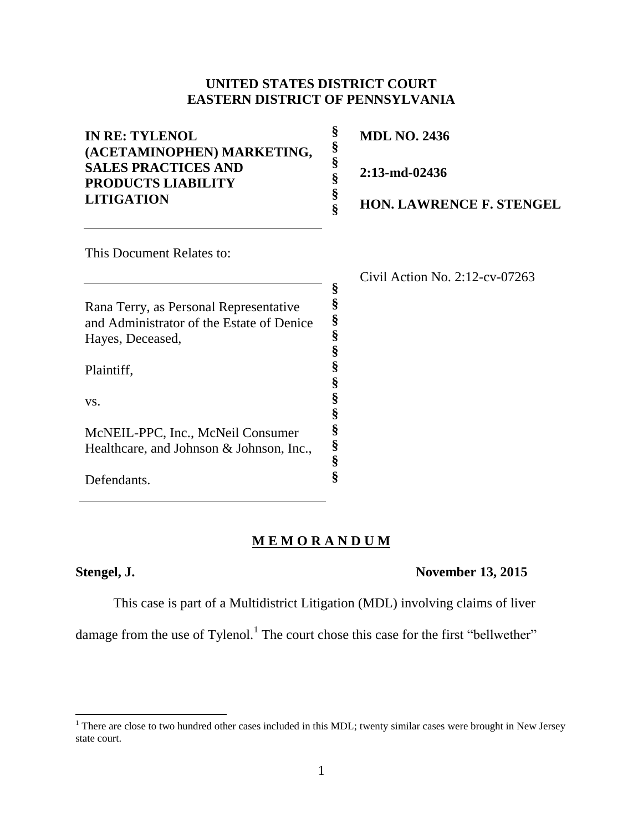# **UNITED STATES DISTRICT COURT EASTERN DISTRICT OF PENNSYLVANIA**

| <b>IN RE: TYLENOL</b><br>(ACETAMINOPHEN) MARKETING,     | §<br>§<br>§ | <b>MDL NO. 2436</b>               |
|---------------------------------------------------------|-------------|-----------------------------------|
| <b>SALES PRACTICES AND</b><br><b>PRODUCTS LIABILITY</b> | §           | 2:13-md-02436                     |
| <b>LITIGATION</b>                                       | §<br>Ś      | <b>HON. LAWRENCE F. STENGEL</b>   |
| This Document Relates to:                               |             |                                   |
|                                                         |             | Civil Action No. $2:12$ -cv-07263 |
|                                                         | §           |                                   |
| Rana Terry, as Personal Representative                  | §           |                                   |
| and Administrator of the Estate of Denice               | §           |                                   |
| Hayes, Deceased,                                        | §           |                                   |
| Plaintiff,                                              | §<br>§<br>§ |                                   |
| VS.                                                     | §<br>§      |                                   |
| McNEIL-PPC, Inc., McNeil Consumer                       | §           |                                   |
| Healthcare, and Johnson & Johnson, Inc.,                | §           |                                   |
|                                                         | ş           |                                   |

# **M E M O R A N D U M**

**§**

 $\overline{\phantom{a}}$ 

Defendants.

## **Stengel, J. November 13, 2015**

This case is part of a Multidistrict Litigation (MDL) involving claims of liver

damage from the use of Tylenol.<sup>1</sup> The court chose this case for the first "bellwether"

 $1$  There are close to two hundred other cases included in this MDL; twenty similar cases were brought in New Jersey state court.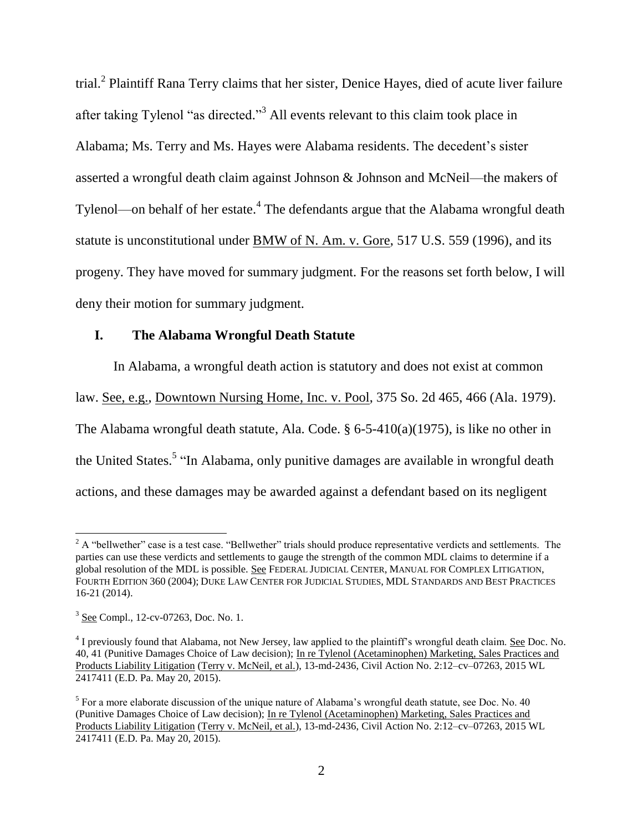trial.<sup>2</sup> Plaintiff Rana Terry claims that her sister, Denice Hayes, died of acute liver failure after taking Tylenol "as directed."<sup>3</sup> All events relevant to this claim took place in Alabama; Ms. Terry and Ms. Hayes were Alabama residents. The decedent's sister asserted a wrongful death claim against Johnson & Johnson and McNeil—the makers of Tylenol—on behalf of her estate. $^4$  The defendants argue that the Alabama wrongful death statute is unconstitutional under BMW of N. Am. v. Gore, 517 U.S. 559 (1996), and its progeny. They have moved for summary judgment. For the reasons set forth below, I will deny their motion for summary judgment.

### **I. The Alabama Wrongful Death Statute**

In Alabama, a wrongful death action is statutory and does not exist at common law. See, e.g., Downtown Nursing Home, Inc. v. Pool, 375 So. 2d 465, 466 (Ala. 1979). The Alabama wrongful death statute, Ala. Code. § 6-5-410(a)(1975), is like no other in the United States.<sup>5</sup> "In Alabama, only punitive damages are available in wrongful death actions, and these damages may be awarded against a defendant based on its negligent

 $\overline{a}$ 

 $2$  A "bellwether" case is a test case. "Bellwether" trials should produce representative verdicts and settlements. The parties can use these verdicts and settlements to gauge the strength of the common MDL claims to determine if a global resolution of the MDL is possible. See FEDERAL JUDICIAL CENTER, MANUAL FOR COMPLEX LITIGATION, FOURTH EDITION 360 (2004); DUKE LAW CENTER FOR JUDICIAL STUDIES, MDL STANDARDS AND BEST PRACTICES 16-21 (2014).

<sup>&</sup>lt;sup>3</sup> See Compl., 12-cv-07263, Doc. No. 1.

 $^{4}$  I previously found that Alabama, not New Jersey, law applied to the plaintiff's wrongful death claim. See Doc. No. 40, 41 (Punitive Damages Choice of Law decision); In re Tylenol (Acetaminophen) Marketing, Sales Practices and Products Liability Litigation (Terry v. McNeil, et al.), 13-md-2436, Civil Action No. 2:12–cv–07263, 2015 WL 2417411 (E.D. Pa. May 20, 2015).

 $<sup>5</sup>$  For a more elaborate discussion of the unique nature of Alabama's wrongful death statute, see Doc. No. 40</sup> (Punitive Damages Choice of Law decision); In re Tylenol (Acetaminophen) Marketing, Sales Practices and Products Liability Litigation (Terry v. McNeil, et al.), 13-md-2436, Civil Action No. 2:12–cv–07263, 2015 WL 2417411 (E.D. Pa. May 20, 2015).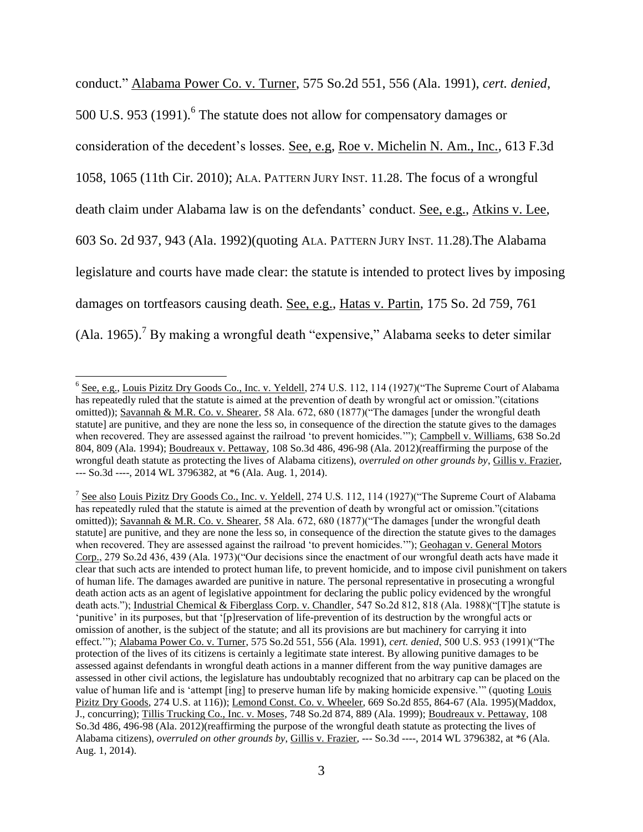conduct." Alabama Power Co. v. Turner, 575 So.2d 551, 556 (Ala. 1991), *cert. denied*, 500 U.S. 953 (1991). <sup>6</sup> The statute does not allow for compensatory damages or consideration of the decedent's losses. See, e.g, Roe v. Michelin N. Am., Inc., 613 F.3d 1058, 1065 (11th Cir. 2010); ALA. PATTERN JURY INST. 11.28. The focus of a wrongful death claim under Alabama law is on the defendants' conduct. See, e.g., Atkins v. Lee, 603 So. 2d 937, 943 (Ala. 1992)(quoting ALA. PATTERN JURY INST. 11.28).The Alabama legislature and courts have made clear: the statute is intended to protect lives by imposing damages on tortfeasors causing death. See, e.g., Hatas v. Partin, 175 So. 2d 759, 761 (Ala. 1965).<sup>7</sup> By making a wrongful death "expensive," Alabama seeks to deter similar

<sup>&</sup>lt;sup>6</sup> See, e.g., Louis Pizitz Dry Goods Co., Inc. v. Yeldell, 274 U.S. 112, 114 (1927)("The Supreme Court of Alabama has repeatedly ruled that the statute is aimed at the prevention of death by wrongful act or omission."(citations omitted)); Savannah & M.R. Co. v. Shearer, 58 Ala. 672, 680 (1877)("The damages [under the wrongful death statute] are punitive, and they are none the less so, in consequence of the direction the statute gives to the damages when recovered. They are assessed against the railroad 'to prevent homicides.'"); Campbell v. Williams, 638 So.2d 804, 809 (Ala. 1994); Boudreaux v. Pettaway, 108 So.3d 486, 496-98 (Ala. 2012)(reaffirming the purpose of the wrongful death statute as protecting the lives of Alabama citizens), *overruled on other grounds by*, Gillis v. Frazier, --- So.3d ----, 2014 WL 3796382, at \*6 (Ala. Aug. 1, 2014).

<sup>&</sup>lt;sup>7</sup> See also Louis Pizitz Dry Goods Co., Inc. v. Yeldell, 274 U.S. 112, 114 (1927) ("The Supreme Court of Alabama has repeatedly ruled that the statute is aimed at the prevention of death by wrongful act or omission."(citations omitted)); Savannah & M.R. Co. v. Shearer, 58 Ala. 672, 680 (1877)("The damages [under the wrongful death statute] are punitive, and they are none the less so, in consequence of the direction the statute gives to the damages when recovered. They are assessed against the railroad 'to prevent homicides.'"); Geohagan v. General Motors Corp., 279 So.2d 436, 439 (Ala. 1973)("Our decisions since the enactment of our wrongful death acts have made it clear that such acts are intended to protect human life, to prevent homicide, and to impose civil punishment on takers of human life. The damages awarded are punitive in nature. The personal representative in prosecuting a wrongful death action acts as an agent of legislative appointment for declaring the public policy evidenced by the wrongful death acts."); Industrial Chemical & Fiberglass Corp. v. Chandler, 547 So.2d 812, 818 (Ala. 1988)("[T]he statute is 'punitive' in its purposes, but that '[p]reservation of life-prevention of its destruction by the wrongful acts or omission of another, is the subject of the statute; and all its provisions are but machinery for carrying it into effect.'"); Alabama Power Co. v. Turner, 575 So.2d 551, 556 (Ala. 1991), *cert. denied*, 500 U.S. 953 (1991)("The protection of the lives of its citizens is certainly a legitimate state interest. By allowing punitive damages to be assessed against defendants in wrongful death actions in a manner different from the way punitive damages are assessed in other civil actions, the legislature has undoubtably recognized that no arbitrary cap can be placed on the value of human life and is 'attempt [ing] to preserve human life by making homicide expensive.'" (quoting Louis Pizitz Dry Goods, 274 U.S. at 116)); Lemond Const. Co. v. Wheeler, 669 So.2d 855, 864-67 (Ala. 1995)(Maddox, J., concurring); Tillis Trucking Co., Inc. v. Moses, 748 So.2d 874, 889 (Ala. 1999); Boudreaux v. Pettaway, 108 So.3d 486, 496-98 (Ala. 2012)(reaffirming the purpose of the wrongful death statute as protecting the lives of Alabama citizens), *overruled on other grounds by*, Gillis v. Frazier, --- So.3d ----, 2014 WL 3796382, at \*6 (Ala. Aug. 1, 2014).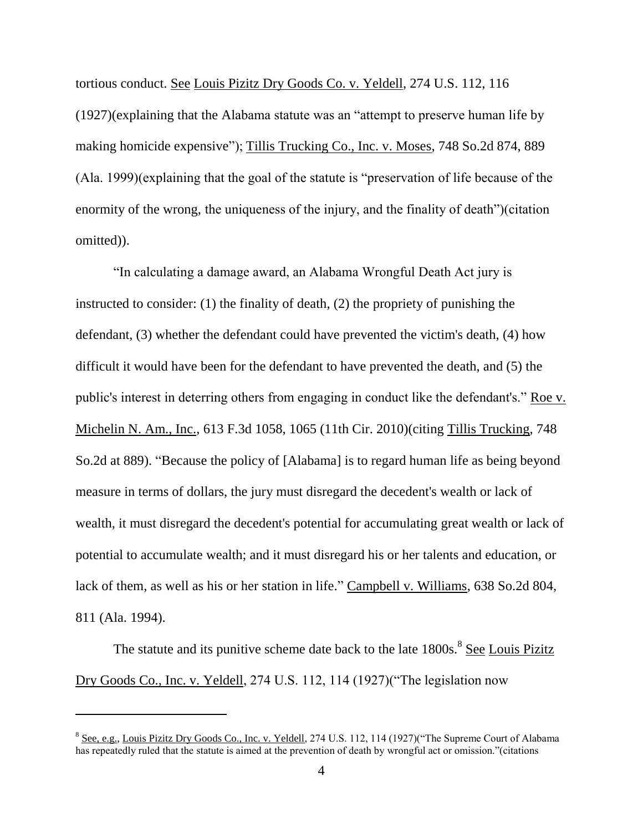tortious conduct. See Louis Pizitz Dry Goods Co. v. Yeldell, 274 U.S. 112, 116 (1927)(explaining that the Alabama statute was an "attempt to preserve human life by making homicide expensive"); Tillis Trucking Co., Inc. v. Moses, 748 So.2d 874, 889 (Ala. 1999)(explaining that the goal of the statute is "preservation of life because of the enormity of the wrong, the uniqueness of the injury, and the finality of death")(citation omitted)).

"In calculating a damage award, an Alabama Wrongful Death Act jury is instructed to consider: (1) the finality of death, (2) the propriety of punishing the defendant, (3) whether the defendant could have prevented the victim's death, (4) how difficult it would have been for the defendant to have prevented the death, and (5) the public's interest in deterring others from engaging in conduct like the defendant's." Roe v. Michelin N. Am., Inc., 613 F.3d 1058, 1065 (11th Cir. 2010)(citing Tillis Trucking, 748 So.2d at 889). "Because the policy of [Alabama] is to regard human life as being beyond measure in terms of dollars, the jury must disregard the decedent's wealth or lack of wealth, it must disregard the decedent's potential for accumulating great wealth or lack of potential to accumulate wealth; and it must disregard his or her talents and education, or lack of them, as well as his or her station in life." Campbell v. Williams, 638 So.2d 804, 811 (Ala. 1994).

The statute and its punitive scheme date back to the late 1800s.<sup>8</sup> See Louis Pizitz Dry Goods Co., Inc. v. Yeldell, 274 U.S. 112, 114 (1927)("The legislation now

<sup>&</sup>lt;sup>8</sup> See, e.g., Louis Pizitz Dry Goods Co., Inc. v. Yeldell, 274 U.S. 112, 114 (1927)("The Supreme Court of Alabama has repeatedly ruled that the statute is aimed at the prevention of death by wrongful act or omission."(citations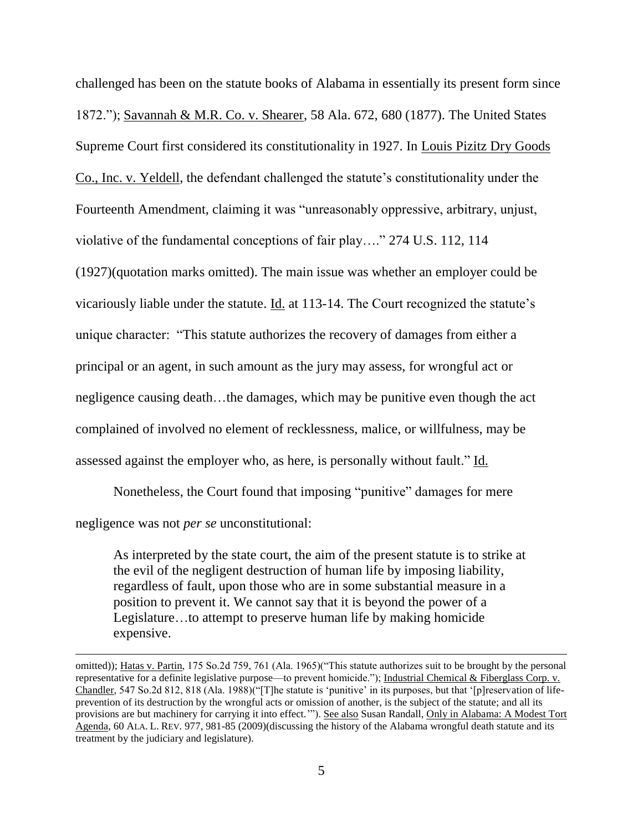challenged has been on the statute books of Alabama in essentially its present form since 1872."); Savannah & M.R. Co. v. Shearer, 58 Ala. 672, 680 (1877). The United States Supreme Court first considered its constitutionality in 1927. In Louis Pizitz Dry Goods Co., Inc. v. Yeldell, the defendant challenged the statute's constitutionality under the Fourteenth Amendment, claiming it was "unreasonably oppressive, arbitrary, unjust, violative of the fundamental conceptions of fair play…." 274 U.S. 112, 114 (1927)(quotation marks omitted). The main issue was whether an employer could be vicariously liable under the statute. Id. at 113-14. The Court recognized the statute's unique character: "This statute authorizes the recovery of damages from either a principal or an agent, in such amount as the jury may assess, for wrongful act or negligence causing death...the damages, which may be punitive even though the act complained of involved no element of recklessness, malice, or willfulness, may be assessed against the employer who, as here, is personally without fault." Id.

Nonetheless, the Court found that imposing "punitive" damages for mere negligence was not *per se* unconstitutional:

 $\overline{a}$ 

As interpreted by the state court, the aim of the present statute is to strike at the evil of the negligent destruction of human life by imposing liability, regardless of fault, upon those who are in some substantial measure in a position to prevent it. We cannot say that it is beyond the power of a Legislature…to attempt to preserve human life by making homicide expensive.

omitted)); Hatas v. Partin, 175 So.2d 759, 761 (Ala. 1965)("This statute authorizes suit to be brought by the personal representative for a definite legislative purpose—to prevent homicide."); Industrial Chemical & Fiberglass Corp. v. Chandler, 547 So.2d 812, 818 (Ala. 1988)("[T]he statute is 'punitive' in its purposes, but that '[p]reservation of lifeprevention of its destruction by the wrongful acts or omission of another, is the subject of the statute; and all its provisions are but machinery for carrying it into effect.""). See also Susan Randall, Only in Alabama: A Modest Tort Agenda, 60 ALA. L. REV. 977, 981-85 (2009)(discussing the history of the Alabama wrongful death statute and its treatment by the judiciary and legislature).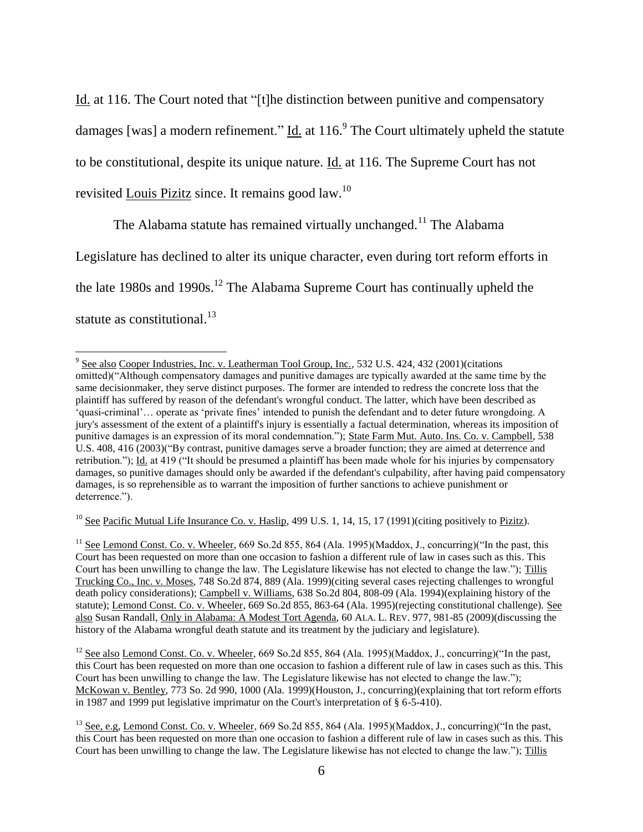Id. at 116. The Court noted that "[t]he distinction between punitive and compensatory damages [was] a modern refinement."  $\underline{Id}$  at 116. The Court ultimately upheld the statute to be constitutional, despite its unique nature. Id. at 116. The Supreme Court has not revisited Louis Pizitz since. It remains good law.<sup>10</sup>

The Alabama statute has remained virtually unchanged.<sup>11</sup> The Alabama Legislature has declined to alter its unique character, even during tort reform efforts in the late 1980s and 1990s.<sup>12</sup> The Alabama Supreme Court has continually upheld the statute as constitutional.<sup>13</sup>

l

<sup>10</sup> See Pacific Mutual Life Insurance Co. v. Haslip, 499 U.S. 1, 14, 15, 17 (1991)(citing positively to <u>Pizitz</u>).

<sup>&</sup>lt;sup>9</sup> See also Cooper Industries, Inc. v. Leatherman Tool Group, Inc., 532 U.S. 424, 432 (2001) (citations omitted)("Although compensatory damages and punitive damages are typically awarded at the same time by the same decisionmaker, they serve distinct purposes. The former are intended to redress the concrete loss that the plaintiff has suffered by reason of the defendant's wrongful conduct. The latter, which have been described as 'quasi-criminal'… operate as 'private fines' intended to punish the defendant and to deter future wrongdoing. A jury's assessment of the extent of a plaintiff's injury is essentially a factual determination, whereas its imposition of punitive damages is an expression of its moral condemnation."); State Farm Mut. Auto. Ins. Co. v. Campbell, 538 U.S. 408, 416 (2003)("By contrast, punitive damages serve a broader function; they are aimed at deterrence and retribution."); Id. at 419 ("It should be presumed a plaintiff has been made whole for his injuries by compensatory damages, so punitive damages should only be awarded if the defendant's culpability, after having paid compensatory damages, is so reprehensible as to warrant the imposition of further sanctions to achieve punishment or deterrence.").

<sup>&</sup>lt;sup>11</sup> See Lemond Const. Co. v. Wheeler, 669 So.2d 855, 864 (Ala. 1995)(Maddox, J., concurring)("In the past, this Court has been requested on more than one occasion to fashion a different rule of law in cases such as this. This Court has been unwilling to change the law. The Legislature likewise has not elected to change the law."); Tillis Trucking Co., Inc. v. Moses, 748 So.2d 874, 889 (Ala. 1999)(citing several cases rejecting challenges to wrongful death policy considerations); Campbell v. Williams, 638 So.2d 804, 808-09 (Ala. 1994)(explaining history of the statute); Lemond Const. Co. v. Wheeler, 669 So.2d 855, 863-64 (Ala. 1995)(rejecting constitutional challenge). See also Susan Randall, Only in Alabama: A Modest Tort Agenda, 60 ALA. L. REV. 977, 981-85 (2009)(discussing the history of the Alabama wrongful death statute and its treatment by the judiciary and legislature).

<sup>&</sup>lt;sup>12</sup> See also Lemond Const. Co. v. Wheeler, 669 So.2d 855, 864 (Ala. 1995)(Maddox, J., concurring)("In the past, this Court has been requested on more than one occasion to fashion a different rule of law in cases such as this. This Court has been unwilling to change the law. The Legislature likewise has not elected to change the law."); McKowan v. Bentley, 773 So. 2d 990, 1000 (Ala. 1999)(Houston, J., concurring)(explaining that tort reform efforts in 1987 and 1999 put legislative imprimatur on the Court's interpretation of § 6-5-410).

<sup>&</sup>lt;sup>13</sup> See, e.g, Lemond Const. Co. v. Wheeler, 669 So.2d 855, 864 (Ala. 1995)(Maddox, J., concurring)("In the past, this Court has been requested on more than one occasion to fashion a different rule of law in cases such as this. This Court has been unwilling to change the law. The Legislature likewise has not elected to change the law."); Tillis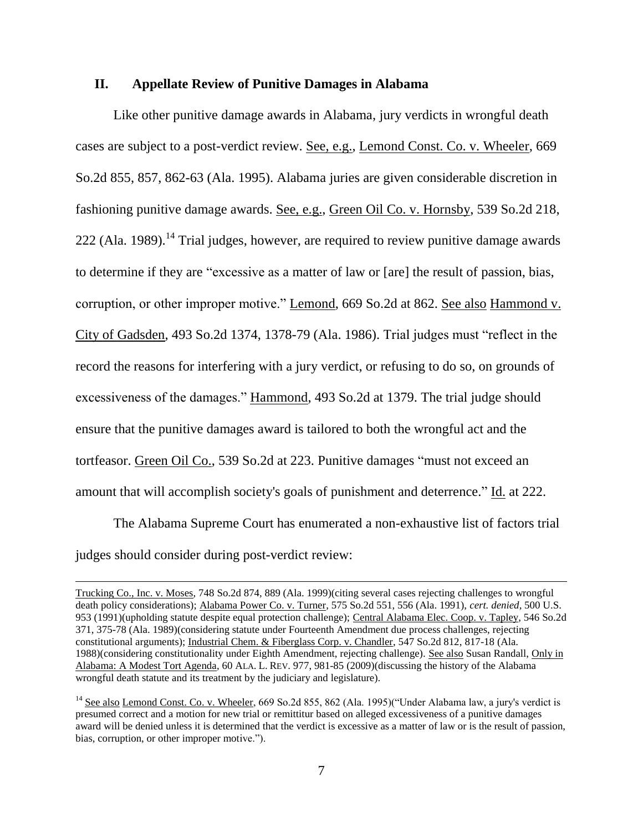#### **II. Appellate Review of Punitive Damages in Alabama**

Like other punitive damage awards in Alabama, jury verdicts in wrongful death cases are subject to a post-verdict review. See, e.g., Lemond Const. Co. v. Wheeler, 669 So.2d 855, 857, 862-63 (Ala. 1995). Alabama juries are given considerable discretion in fashioning punitive damage awards. See, e.g., Green Oil Co. v. Hornsby, 539 So.2d 218,  $222$  (Ala. 1989).<sup>14</sup> Trial judges, however, are required to review punitive damage awards to determine if they are "excessive as a matter of law or [are] the result of passion, bias, corruption, or other improper motive." Lemond, 669 So.2d at 862. See also Hammond v. City of Gadsden, 493 So.2d 1374, 1378-79 (Ala. 1986). Trial judges must "reflect in the record the reasons for interfering with a jury verdict, or refusing to do so, on grounds of excessiveness of the damages." Hammond, 493 So.2d at 1379. The trial judge should ensure that the punitive damages award is tailored to both the wrongful act and the tortfeasor. Green Oil Co., 539 So.2d at 223. Punitive damages "must not exceed an amount that will accomplish society's goals of punishment and deterrence." Id. at 222.

The Alabama Supreme Court has enumerated a non-exhaustive list of factors trial judges should consider during post-verdict review:

 $\overline{a}$ 

Trucking Co., Inc. v. Moses, 748 So.2d 874, 889 (Ala. 1999)(citing several cases rejecting challenges to wrongful death policy considerations); Alabama Power Co. v. Turner, 575 So.2d 551, 556 (Ala. 1991), *cert. denied*, 500 U.S. 953 (1991)(upholding statute despite equal protection challenge); Central Alabama Elec. Coop. v. Tapley, 546 So.2d 371, 375-78 (Ala. 1989)(considering statute under Fourteenth Amendment due process challenges, rejecting constitutional arguments); Industrial Chem. & Fiberglass Corp. v. Chandler, 547 So.2d 812, 817-18 (Ala. 1988)(considering constitutionality under Eighth Amendment, rejecting challenge). See also Susan Randall, Only in Alabama: A Modest Tort Agenda, 60 ALA. L. REV. 977, 981-85 (2009)(discussing the history of the Alabama wrongful death statute and its treatment by the judiciary and legislature).

<sup>&</sup>lt;sup>14</sup> See also Lemond Const. Co. v. Wheeler, 669 So.2d 855, 862 (Ala. 1995)("Under Alabama law, a jury's verdict is presumed correct and a motion for new trial or remittitur based on alleged excessiveness of a punitive damages award will be denied unless it is determined that the verdict is excessive as a matter of law or is the result of passion, bias, corruption, or other improper motive.").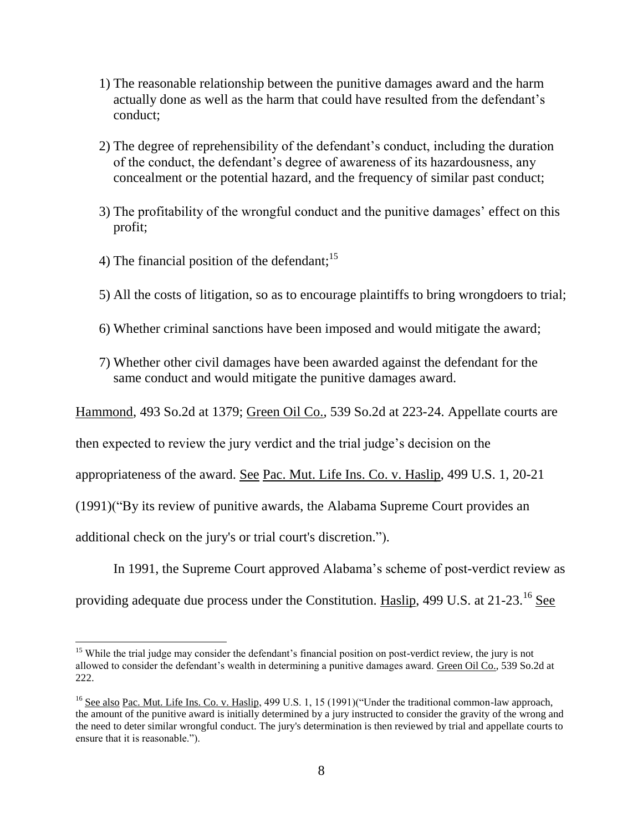- 1) The reasonable relationship between the punitive damages award and the harm actually done as well as the harm that could have resulted from the defendant's conduct;
- 2) The degree of reprehensibility of the defendant's conduct, including the duration of the conduct, the defendant's degree of awareness of its hazardousness, any concealment or the potential hazard, and the frequency of similar past conduct;
- 3) The profitability of the wrongful conduct and the punitive damages' effect on this profit;
- 4) The financial position of the defendant;  $15$
- 5) All the costs of litigation, so as to encourage plaintiffs to bring wrongdoers to trial;
- 6) Whether criminal sanctions have been imposed and would mitigate the award;
- 7) Whether other civil damages have been awarded against the defendant for the same conduct and would mitigate the punitive damages award.

Hammond, 493 So.2d at 1379; Green Oil Co., 539 So.2d at 223-24. Appellate courts are

then expected to review the jury verdict and the trial judge's decision on the

appropriateness of the award. See Pac. Mut. Life Ins. Co. v. Haslip, 499 U.S. 1, 20-21

(1991)("By its review of punitive awards, the Alabama Supreme Court provides an

additional check on the jury's or trial court's discretion.").

In 1991, the Supreme Court approved Alabama's scheme of post-verdict review as

providing adequate due process under the Constitution. Haslip, 499 U.S. at 21-23.<sup>16</sup> See

 $\overline{\phantom{a}}$ <sup>15</sup> While the trial judge may consider the defendant's financial position on post-verdict review, the jury is not allowed to consider the defendant's wealth in determining a punitive damages award. Green Oil Co., 539 So.2d at 222.

<sup>&</sup>lt;sup>16</sup> See also Pac. Mut. Life Ins. Co. v. Haslip, 499 U.S. 1, 15 (1991)("Under the traditional common-law approach, the amount of the punitive award is initially determined by a jury instructed to consider the gravity of the wrong and the need to deter similar wrongful conduct. The jury's determination is then reviewed by trial and appellate courts to ensure that it is reasonable.").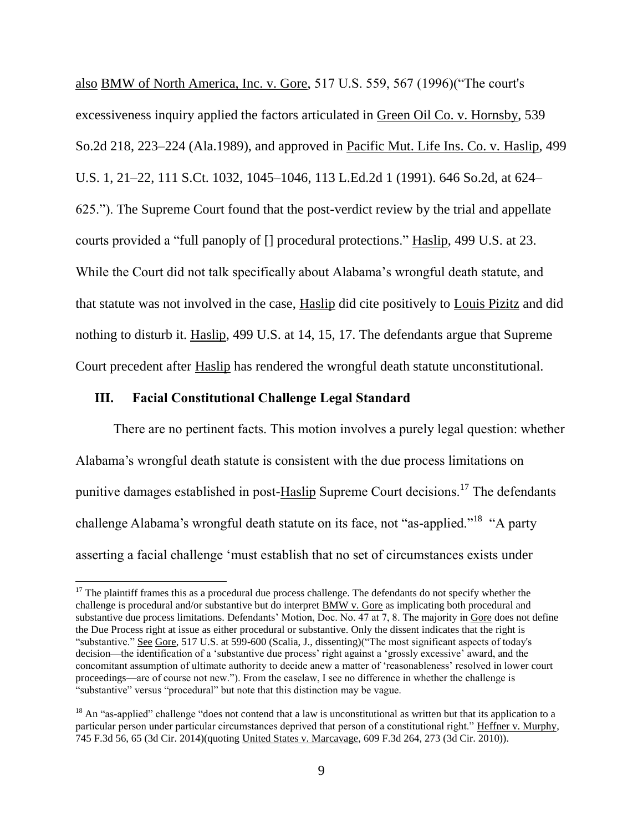also BMW of North America, Inc. v. Gore, 517 U.S. 559, 567 (1996)("The court's excessiveness inquiry applied the factors articulated in Green Oil Co. v. Hornsby, 539 So.2d 218, 223–224 (Ala.1989), and approved in Pacific Mut. Life Ins. Co. v. Haslip, 499 U.S. 1, 21–22, 111 S.Ct. 1032, 1045–1046, 113 L.Ed.2d 1 (1991). 646 So.2d, at 624– 625."). The Supreme Court found that the post-verdict review by the trial and appellate courts provided a "full panoply of [] procedural protections." Haslip, 499 U.S. at 23. While the Court did not talk specifically about Alabama's wrongful death statute, and that statute was not involved in the case, Haslip did cite positively to Louis Pizitz and did nothing to disturb it. Haslip, 499 U.S. at 14, 15, 17. The defendants argue that Supreme Court precedent after Haslip has rendered the wrongful death statute unconstitutional.

### **III. Facial Constitutional Challenge Legal Standard**

 $\overline{a}$ 

There are no pertinent facts. This motion involves a purely legal question: whether Alabama's wrongful death statute is consistent with the due process limitations on punitive damages established in post-Haslip Supreme Court decisions.<sup>17</sup> The defendants challenge Alabama's wrongful death statute on its face, not "as-applied."<sup>18</sup> "A party asserting a facial challenge 'must establish that no set of circumstances exists under

 $17$  The plaintiff frames this as a procedural due process challenge. The defendants do not specify whether the challenge is procedural and/or substantive but do interpret BMW v. Gore as implicating both procedural and substantive due process limitations. Defendants' Motion, Doc. No. 47 at 7, 8. The majority in Gore does not define the Due Process right at issue as either procedural or substantive. Only the dissent indicates that the right is "substantive." See Gore, 517 U.S. at 599-600 (Scalia, J., dissenting)("The most significant aspects of today's decision—the identification of a 'substantive due process' right against a 'grossly excessive' award, and the concomitant assumption of ultimate authority to decide anew a matter of 'reasonableness' resolved in lower court proceedings—are of course not new."). From the caselaw, I see no difference in whether the challenge is "substantive" versus "procedural" but note that this distinction may be vague.

 $18$  An "as-applied" challenge "does not contend that a law is unconstitutional as written but that its application to a particular person under particular circumstances deprived that person of a constitutional right." Heffner v. Murphy, 745 F.3d 56, 65 (3d Cir. 2014)(quoting United States v. Marcavage, 609 F.3d 264, 273 (3d Cir. 2010)).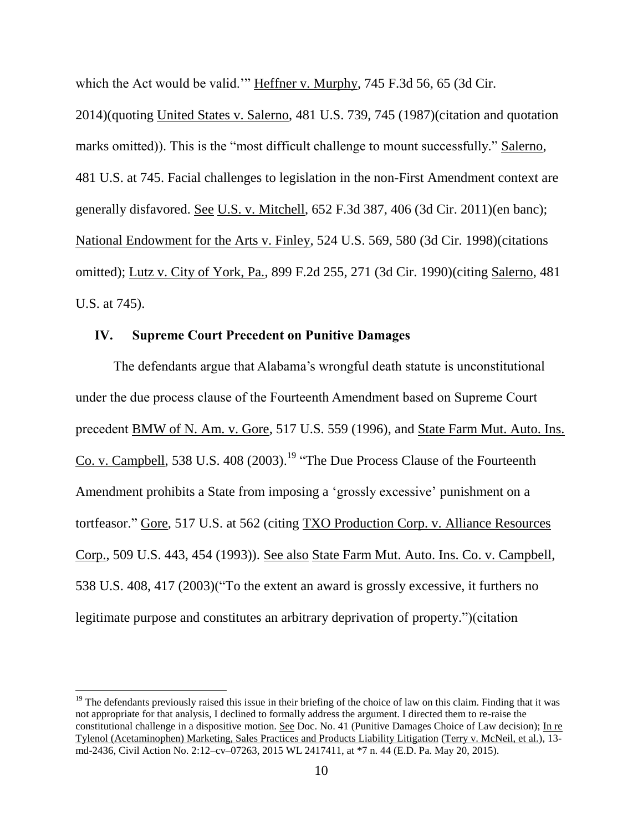which the Act would be valid." Heffner v. Murphy, 745 F.3d 56, 65 (3d Cir.

2014)(quoting United States v. Salerno, 481 U.S. 739, 745 (1987)(citation and quotation marks omitted)). This is the "most difficult challenge to mount successfully." Salerno, 481 U.S. at 745. Facial challenges to legislation in the non-First Amendment context are generally disfavored. See U.S. v. Mitchell, 652 F.3d 387, 406 (3d Cir. 2011)(en banc); National Endowment for the Arts v. Finley, 524 U.S. 569, 580 (3d Cir. 1998)(citations omitted); Lutz v. City of York, Pa., 899 F.2d 255, 271 (3d Cir. 1990)(citing Salerno, 481 U.S. at 745).

## **IV. Supreme Court Precedent on Punitive Damages**

 $\overline{a}$ 

The defendants argue that Alabama's wrongful death statute is unconstitutional under the due process clause of the Fourteenth Amendment based on Supreme Court precedent BMW of N. Am. v. Gore, 517 U.S. 559 (1996), and State Farm Mut. Auto. Ins. Co. v. Campbell, 538 U.S.  $408 (2003)$ .<sup>19</sup> "The Due Process Clause of the Fourteenth Amendment prohibits a State from imposing a 'grossly excessive' punishment on a tortfeasor." Gore, 517 U.S. at 562 (citing TXO Production Corp. v. Alliance Resources Corp., 509 U.S. 443, 454 (1993)). See also State Farm Mut. Auto. Ins. Co. v. Campbell, 538 U.S. 408, 417 (2003)("To the extent an award is grossly excessive, it furthers no legitimate purpose and constitutes an arbitrary deprivation of property.")(citation

 $19$  The defendants previously raised this issue in their briefing of the choice of law on this claim. Finding that it was not appropriate for that analysis, I declined to formally address the argument. I directed them to re-raise the constitutional challenge in a dispositive motion. See Doc. No. 41 (Punitive Damages Choice of Law decision); In re Tylenol (Acetaminophen) Marketing, Sales Practices and Products Liability Litigation (Terry v. McNeil, et al.), 13 md-2436, Civil Action No. 2:12–cv–07263, 2015 WL 2417411, at \*7 n. 44 (E.D. Pa. May 20, 2015).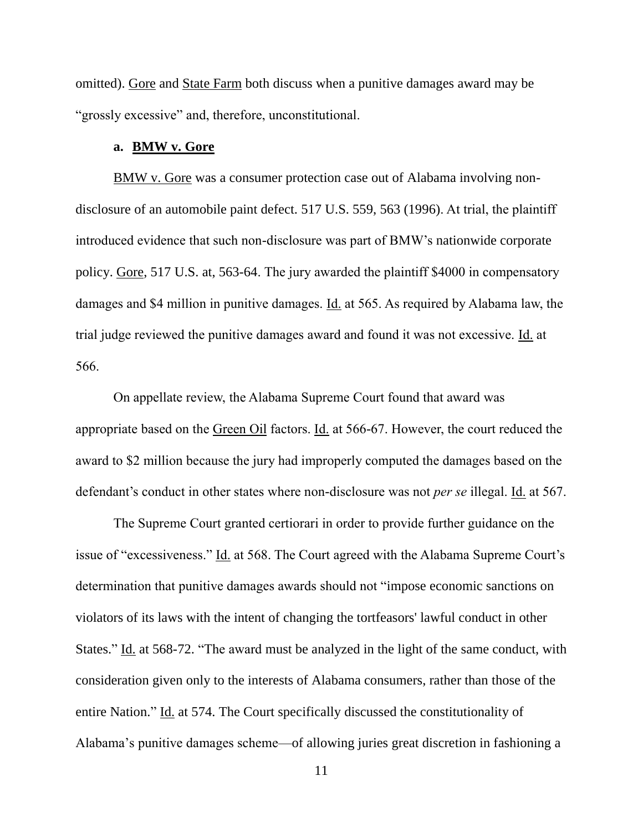omitted). Gore and State Farm both discuss when a punitive damages award may be "grossly excessive" and, therefore, unconstitutional.

#### **a. BMW v. Gore**

BMW v. Gore was a consumer protection case out of Alabama involving nondisclosure of an automobile paint defect. 517 U.S. 559, 563 (1996). At trial, the plaintiff introduced evidence that such non-disclosure was part of BMW's nationwide corporate policy. Gore, 517 U.S. at, 563-64. The jury awarded the plaintiff \$4000 in compensatory damages and \$4 million in punitive damages. Id. at 565. As required by Alabama law, the trial judge reviewed the punitive damages award and found it was not excessive. Id. at 566.

On appellate review, the Alabama Supreme Court found that award was appropriate based on the Green Oil factors. Id. at 566-67. However, the court reduced the award to \$2 million because the jury had improperly computed the damages based on the defendant's conduct in other states where non-disclosure was not *per se* illegal. Id. at 567.

The Supreme Court granted certiorari in order to provide further guidance on the issue of "excessiveness." Id. at 568. The Court agreed with the Alabama Supreme Court's determination that punitive damages awards should not "impose economic sanctions on violators of its laws with the intent of changing the tortfeasors' lawful conduct in other States." Id. at 568-72. "The award must be analyzed in the light of the same conduct, with consideration given only to the interests of Alabama consumers, rather than those of the entire Nation." Id. at 574. The Court specifically discussed the constitutionality of Alabama's punitive damages scheme—of allowing juries great discretion in fashioning a

11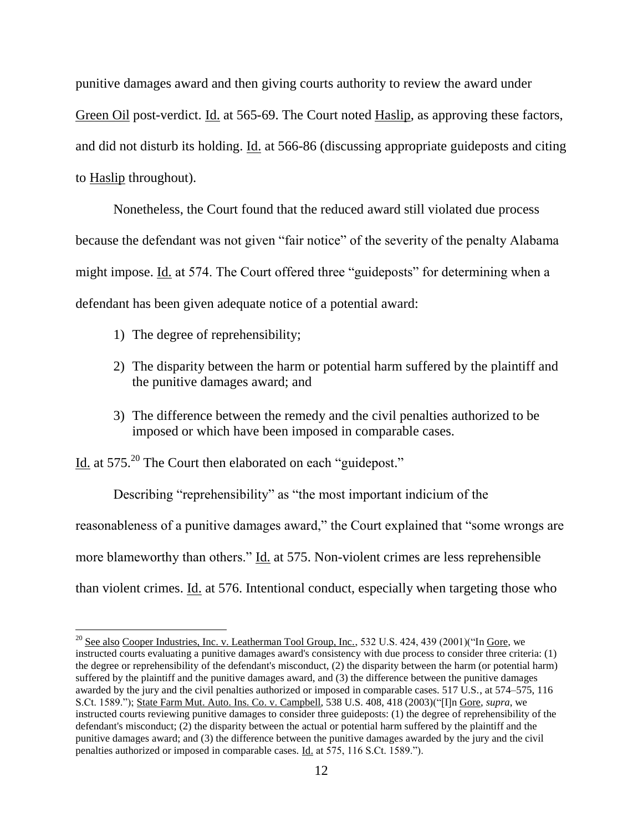punitive damages award and then giving courts authority to review the award under Green Oil post-verdict. Id. at 565-69. The Court noted Haslip, as approving these factors,

and did not disturb its holding. Id. at 566-86 (discussing appropriate guideposts and citing

to Haslip throughout).

 $\overline{\phantom{a}}$ 

Nonetheless, the Court found that the reduced award still violated due process because the defendant was not given "fair notice" of the severity of the penalty Alabama might impose. Id. at 574. The Court offered three "guideposts" for determining when a defendant has been given adequate notice of a potential award:

- 1) The degree of reprehensibility;
- 2) The disparity between the harm or potential harm suffered by the plaintiff and the punitive damages award; and
- 3) The difference between the remedy and the civil penalties authorized to be imposed or which have been imposed in comparable cases.

Id. at 575<sup>20</sup> The Court then elaborated on each "guidepost."

Describing "reprehensibility" as "the most important indicium of the reasonableness of a punitive damages award," the Court explained that "some wrongs are more blameworthy than others." Id. at 575. Non-violent crimes are less reprehensible than violent crimes. Id. at 576. Intentional conduct, especially when targeting those who

 $^{20}$  See also Cooper Industries, Inc. v. Leatherman Tool Group, Inc., 532 U.S. 424, 439 (2001)("In Gore, we instructed courts evaluating a punitive damages award's consistency with due process to consider three criteria: (1) the degree or reprehensibility of the defendant's misconduct, (2) the disparity between the harm (or potential harm) suffered by the plaintiff and the punitive damages award, and (3) the difference between the punitive damages awarded by the jury and the civil penalties authorized or imposed in comparable cases.  $517 \text{ U.S.}$ , at  $574-575$ , 116 S.Ct. 1589."); State Farm Mut. Auto. Ins. Co. v. Campbell, 538 U.S. 408, 418 (2003)("[I]n Gore, *supra*, we instructed courts reviewing punitive damages to consider three guideposts: (1) the degree of reprehensibility of the defendant's misconduct; (2) the disparity between the actual or potential harm suffered by the plaintiff and the punitive damages award; and (3) the difference between the punitive damages awarded by the jury and the civil penalties authorized or imposed in comparable cases. Id. at 575, 116 S.Ct. 1589.").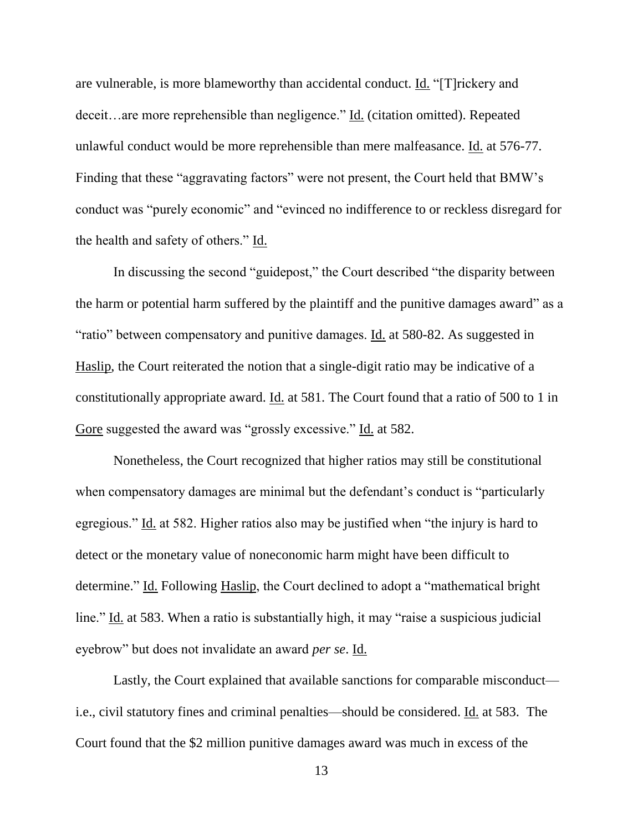are vulnerable, is more blameworthy than accidental conduct. Id. "[T]rickery and deceit…are more reprehensible than negligence." Id. (citation omitted). Repeated unlawful conduct would be more reprehensible than mere malfeasance. Id. at 576-77. Finding that these "aggravating factors" were not present, the Court held that BMW's conduct was "purely economic" and "evinced no indifference to or reckless disregard for the health and safety of others." Id.

In discussing the second "guidepost," the Court described "the disparity between the harm or potential harm suffered by the plaintiff and the punitive damages award" as a "ratio" between compensatory and punitive damages. Id. at 580-82. As suggested in Haslip, the Court reiterated the notion that a single-digit ratio may be indicative of a constitutionally appropriate award. <u>Id.</u> at 581. The Court found that a ratio of 500 to 1 in Gore suggested the award was "grossly excessive." Id. at 582.

Nonetheless, the Court recognized that higher ratios may still be constitutional when compensatory damages are minimal but the defendant's conduct is "particularly egregious." Id. at 582. Higher ratios also may be justified when "the injury is hard to detect or the monetary value of noneconomic harm might have been difficult to determine." Id. Following Haslip, the Court declined to adopt a "mathematical bright line." Id. at 583. When a ratio is substantially high, it may "raise a suspicious judicial eyebrow" but does not invalidate an award *per se*. Id.

Lastly, the Court explained that available sanctions for comparable misconduct i.e., civil statutory fines and criminal penalties—should be considered. Id. at 583. The Court found that the \$2 million punitive damages award was much in excess of the

13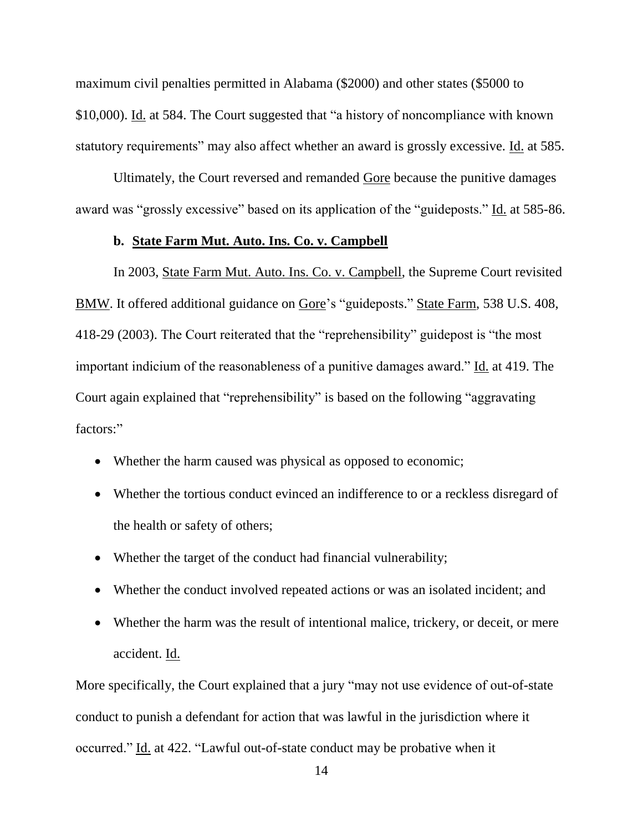maximum civil penalties permitted in Alabama (\$2000) and other states (\$5000 to \$10,000). Id. at 584. The Court suggested that "a history of noncompliance with known statutory requirements" may also affect whether an award is grossly excessive. Id. at 585.

Ultimately, the Court reversed and remanded Gore because the punitive damages award was "grossly excessive" based on its application of the "guideposts." Id. at 585-86.

## **b. State Farm Mut. Auto. Ins. Co. v. Campbell**

In 2003, State Farm Mut. Auto. Ins. Co. v. Campbell, the Supreme Court revisited BMW. It offered additional guidance on Gore's "guideposts." State Farm, 538 U.S. 408, 418-29 (2003). The Court reiterated that the "reprehensibility" guidepost is "the most important indicium of the reasonableness of a punitive damages award." Id. at 419. The Court again explained that "reprehensibility" is based on the following "aggravating factors:"

- Whether the harm caused was physical as opposed to economic;
- Whether the tortious conduct evinced an indifference to or a reckless disregard of the health or safety of others;
- Whether the target of the conduct had financial vulnerability;
- Whether the conduct involved repeated actions or was an isolated incident; and
- Whether the harm was the result of intentional malice, trickery, or deceit, or mere accident. Id.

More specifically, the Court explained that a jury "may not use evidence of out-of-state conduct to punish a defendant for action that was lawful in the jurisdiction where it occurred." Id. at 422. "Lawful out-of-state conduct may be probative when it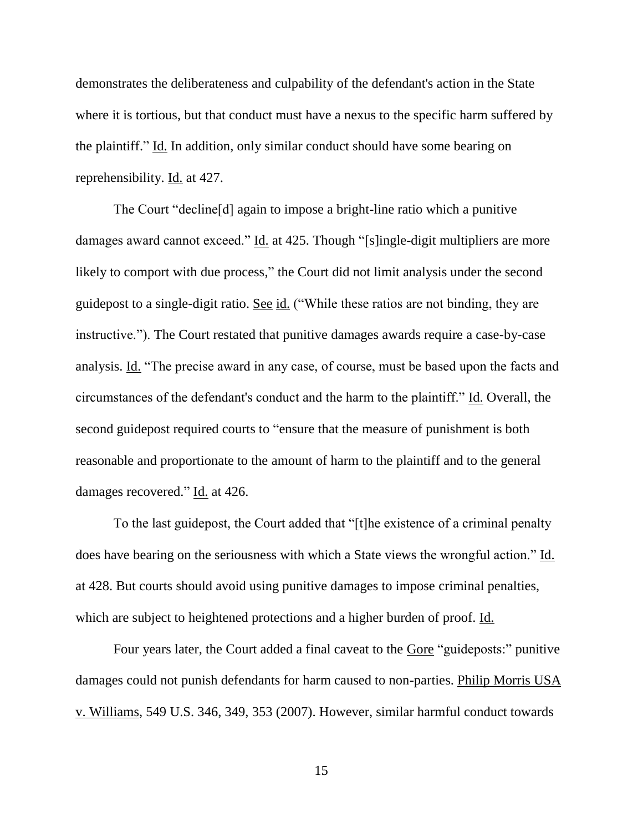demonstrates the deliberateness and culpability of the defendant's action in the State where it is tortious, but that conduct must have a nexus to the specific harm suffered by the plaintiff." Id. In addition, only similar conduct should have some bearing on reprehensibility. Id. at 427.

The Court "decline[d] again to impose a bright-line ratio which a punitive damages award cannot exceed." Id. at 425. Though "[s]ingle-digit multipliers are more likely to comport with due process," the Court did not limit analysis under the second guidepost to a single-digit ratio. See id. ("While these ratios are not binding, they are instructive."). The Court restated that punitive damages awards require a case-by-case analysis. Id. "The precise award in any case, of course, must be based upon the facts and circumstances of the defendant's conduct and the harm to the plaintiff." Id. Overall, the second guidepost required courts to "ensure that the measure of punishment is both reasonable and proportionate to the amount of harm to the plaintiff and to the general damages recovered." Id. at 426.

To the last guidepost, the Court added that "[t]he existence of a criminal penalty does have bearing on the seriousness with which a State views the wrongful action." Id. at 428. But courts should avoid using punitive damages to impose criminal penalties, which are subject to heightened protections and a higher burden of proof. Id.

Four years later, the Court added a final caveat to the Gore "guideposts:" punitive damages could not punish defendants for harm caused to non-parties. Philip Morris USA v. Williams, 549 U.S. 346, 349, 353 (2007). However, similar harmful conduct towards

15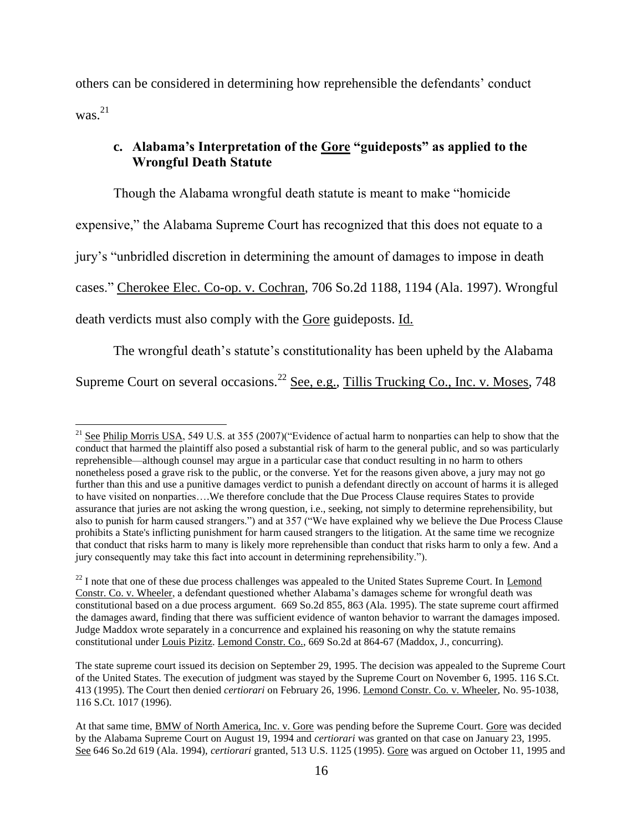others can be considered in determining how reprehensible the defendants' conduct was.<sup>21</sup>

# **c. Alabama's Interpretation of the Gore "guideposts" as applied to the Wrongful Death Statute**

Though the Alabama wrongful death statute is meant to make "homicide expensive," the Alabama Supreme Court has recognized that this does not equate to a jury's "unbridled discretion in determining the amount of damages to impose in death cases." Cherokee Elec. Co-op. v. Cochran, 706 So.2d 1188, 1194 (Ala. 1997). Wrongful death verdicts must also comply with the Gore guideposts. Id.

The wrongful death's statute's constitutionality has been upheld by the Alabama

Supreme Court on several occasions.<sup>22</sup> See, e.g., Tillis Trucking Co., Inc. v. Moses, 748

l <sup>21</sup> See Philip Morris USA, 549 U.S. at 355 (2007)("Evidence of actual harm to nonparties can help to show that the conduct that harmed the plaintiff also posed a substantial risk of harm to the general public, and so was particularly reprehensible—although counsel may argue in a particular case that conduct resulting in no harm to others nonetheless posed a grave risk to the public, or the converse. Yet for the reasons given above, a jury may not go further than this and use a punitive damages verdict to punish a defendant directly on account of harms it is alleged to have visited on nonparties….We therefore conclude that the Due Process Clause requires States to provide assurance that juries are not asking the wrong question, i.e., seeking, not simply to determine reprehensibility, but also to punish for harm caused strangers.") and at 357 ("We have explained why we believe the Due Process Clause prohibits a State's inflicting punishment for harm caused strangers to the litigation. At the same time we recognize that conduct that risks harm to many is likely more reprehensible than conduct that risks harm to only a few. And a jury consequently may take this fact into account in determining reprehensibility.").

<sup>&</sup>lt;sup>22</sup> I note that one of these due process challenges was appealed to the United States Supreme Court. In Lemond Constr. Co. v. Wheeler, a defendant questioned whether Alabama's damages scheme for wrongful death was constitutional based on a due process argument. 669 So.2d 855, 863 (Ala. 1995). The state supreme court affirmed the damages award, finding that there was sufficient evidence of wanton behavior to warrant the damages imposed. Judge Maddox wrote separately in a concurrence and explained his reasoning on why the statute remains constitutional under Louis Pizitz. Lemond Constr. Co., 669 So.2d at 864-67 (Maddox, J., concurring).

The state supreme court issued its decision on September 29, 1995. The decision was appealed to the Supreme Court of the United States. The execution of judgment was stayed by the Supreme Court on November 6, 1995. 116 S.Ct. 413 (1995). The Court then denied *certiorari* on February 26, 1996. Lemond Constr. Co. v. Wheeler, No. 95-1038, 116 S.Ct. 1017 (1996).

At that same time, BMW of North America, Inc. v. Gore was pending before the Supreme Court. Gore was decided by the Alabama Supreme Court on August 19, 1994 and *certiorari* was granted on that case on January 23, 1995. See 646 So.2d 619 (Ala. 1994), *certiorari* granted, 513 U.S. 1125 (1995). Gore was argued on October 11, 1995 and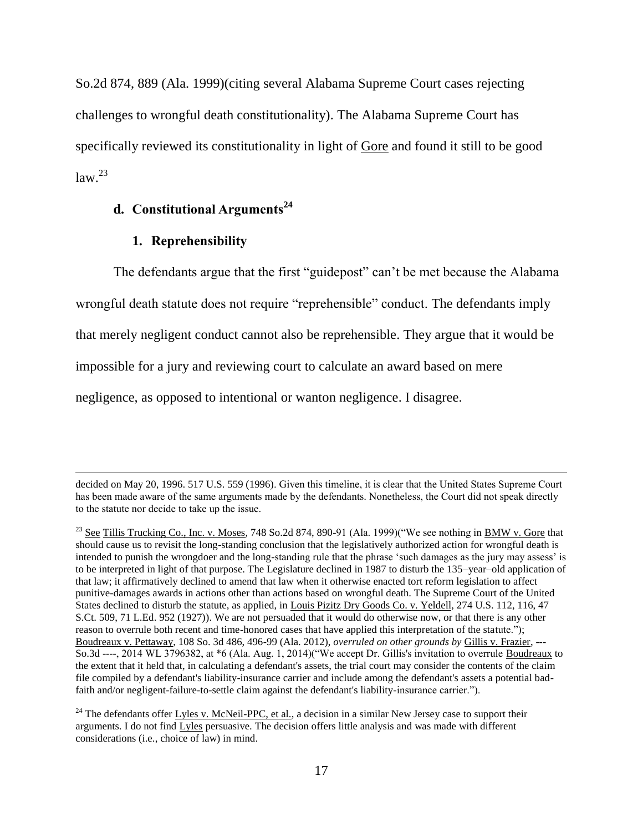So.2d 874, 889 (Ala. 1999)(citing several Alabama Supreme Court cases rejecting challenges to wrongful death constitutionality). The Alabama Supreme Court has specifically reviewed its constitutionality in light of Gore and found it still to be good  $law.<sup>23</sup>$ 

# **d. Constitutional Arguments<sup>24</sup>**

#### **1. Reprehensibility**

 $\overline{\phantom{a}}$ 

The defendants argue that the first "guidepost" can't be met because the Alabama

wrongful death statute does not require "reprehensible" conduct. The defendants imply

that merely negligent conduct cannot also be reprehensible. They argue that it would be

impossible for a jury and reviewing court to calculate an award based on mere

negligence, as opposed to intentional or wanton negligence. I disagree.

decided on May 20, 1996. 517 U.S. 559 (1996). Given this timeline, it is clear that the United States Supreme Court has been made aware of the same arguments made by the defendants. Nonetheless, the Court did not speak directly to the statute nor decide to take up the issue.

<sup>&</sup>lt;sup>23</sup> See Tillis Trucking Co., Inc. v. Moses, 748 So.2d 874, 890-91 (Ala. 1999)("We see nothing in BMW v. Gore that should cause us to revisit the long-standing conclusion that the legislatively authorized action for wrongful death is intended to punish the wrongdoer and the long-standing rule that the phrase 'such damages as the jury may assess' is to be interpreted in light of that purpose. The Legislature declined in 1987 to disturb the 135–year–old application of that law; it affirmatively declined to amend that law when it otherwise enacted tort reform legislation to affect punitive-damages awards in actions other than actions based on wrongful death. The Supreme Court of the United States declined to disturb the statute, as applied, in Louis Pizitz Dry Goods Co. v. Yeldell, 274 U.S. 112, 116, 47 S.Ct. 509, 71 L.Ed. 952 (1927)). We are not persuaded that it would do otherwise now, or that there is any other reason to overrule both recent and time-honored cases that have applied this interpretation of the statute."); Boudreaux v. Pettaway, 108 So. 3d 486, 496-99 (Ala. 2012), *overruled on other grounds by* Gillis v. Frazier, --- So.3d ----, 2014 WL 3796382, at \*6 (Ala. Aug. 1, 2014)("We accept Dr. Gillis's invitation to overrule Boudreaux to the extent that it held that, in calculating a defendant's assets, the trial court may consider the contents of the claim file compiled by a defendant's liability-insurance carrier and include among the defendant's assets a potential badfaith and/or negligent-failure-to-settle claim against the defendant's liability-insurance carrier.").

<sup>&</sup>lt;sup>24</sup> The defendants offer Lyles v. McNeil-PPC, et al., a decision in a similar New Jersey case to support their arguments. I do not find Lyles persuasive. The decision offers little analysis and was made with different considerations (i.e., choice of law) in mind.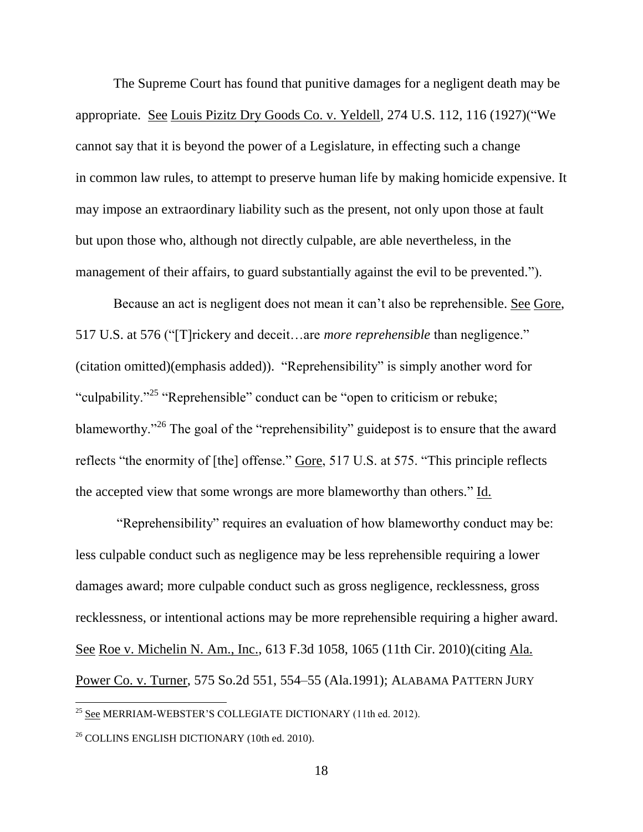The Supreme Court has found that punitive damages for a negligent death may be appropriate. See Louis Pizitz Dry Goods Co. v. Yeldell, 274 U.S. 112, 116 (1927)("We cannot say that it is beyond the power of a Legislature, in effecting such a change in common law rules, to attempt to preserve human life by making homicide expensive. It may impose an extraordinary liability such as the present, not only upon those at fault but upon those who, although not directly culpable, are able nevertheless, in the management of their affairs, to guard substantially against the evil to be prevented.").

Because an act is negligent does not mean it can't also be reprehensible. See Gore, 517 U.S. at 576 ("[T]rickery and deceit…are *more reprehensible* than negligence." (citation omitted)(emphasis added)). "Reprehensibility" is simply another word for "culpability."<sup>25</sup> "Reprehensible" conduct can be "open to criticism or rebuke; blameworthy.<sup>"26</sup> The goal of the "reprehensibility" guidepost is to ensure that the award reflects "the enormity of [the] offense." Gore, 517 U.S. at 575. "This principle reflects the accepted view that some wrongs are more blameworthy than others." Id.

"Reprehensibility" requires an evaluation of how blameworthy conduct may be: less culpable conduct such as negligence may be less reprehensible requiring a lower damages award; more culpable conduct such as gross negligence, recklessness, gross recklessness, or intentional actions may be more reprehensible requiring a higher award. See Roe v. Michelin N. Am., Inc., 613 F.3d 1058, 1065 (11th Cir. 2010)(citing Ala. Power Co. v. Turner, 575 So.2d 551, 554–55 (Ala.1991); ALABAMA PATTERN JURY

<sup>&</sup>lt;sup>25</sup> See MERRIAM-WEBSTER'S COLLEGIATE DICTIONARY (11th ed. 2012).

<sup>26</sup> COLLINS ENGLISH DICTIONARY (10th ed. 2010).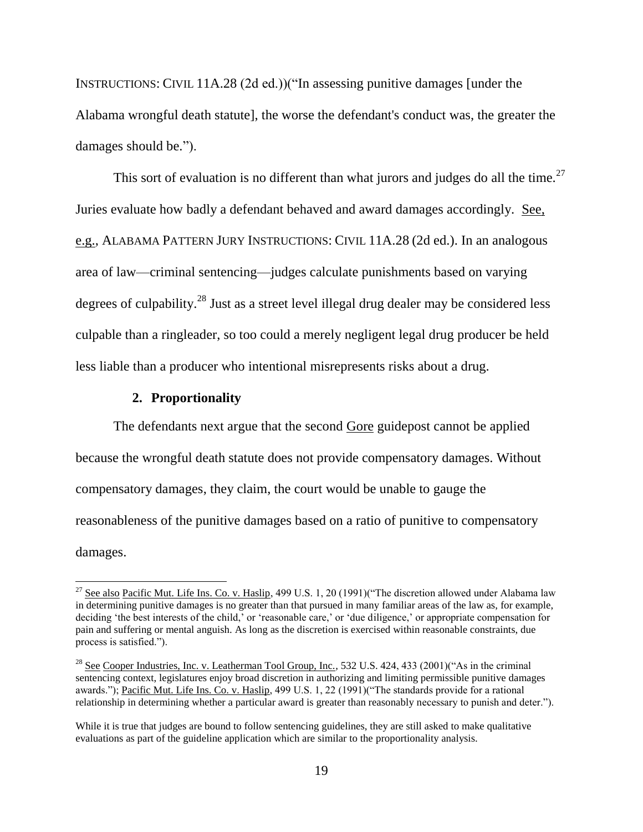INSTRUCTIONS: CIVIL 11A.28 (2d ed.))("In assessing punitive damages [under the Alabama wrongful death statute], the worse the defendant's conduct was, the greater the damages should be.").

This sort of evaluation is no different than what jurors and judges do all the time.<sup>27</sup> Juries evaluate how badly a defendant behaved and award damages accordingly. See, e.g., ALABAMA PATTERN JURY INSTRUCTIONS: CIVIL 11A.28 (2d ed.). In an analogous area of law—criminal sentencing—judges calculate punishments based on varying degrees of culpability.<sup>28</sup> Just as a street level illegal drug dealer may be considered less culpable than a ringleader, so too could a merely negligent legal drug producer be held less liable than a producer who intentional misrepresents risks about a drug.

### **2. Proportionality**

 $\overline{a}$ 

The defendants next argue that the second Gore guidepost cannot be applied because the wrongful death statute does not provide compensatory damages. Without compensatory damages, they claim, the court would be unable to gauge the reasonableness of the punitive damages based on a ratio of punitive to compensatory damages.

<sup>&</sup>lt;sup>27</sup> See also Pacific Mut. Life Ins. Co. v. Haslip, 499 U.S. 1, 20 (1991)("The discretion allowed under Alabama law in determining punitive damages is no greater than that pursued in many familiar areas of the law as, for example, deciding 'the best interests of the child,' or 'reasonable care,' or 'due diligence,' or appropriate compensation for pain and suffering or mental anguish. As long as the discretion is exercised within reasonable constraints, due process is satisfied.").

<sup>&</sup>lt;sup>28</sup> See Cooper Industries, Inc. v. Leatherman Tool Group, Inc., 532 U.S. 424, 433 (2001)("As in the criminal sentencing context, legislatures enjoy broad discretion in authorizing and limiting permissible punitive damages awards."); Pacific Mut. Life Ins. Co. v. Haslip, 499 U.S. 1, 22 (1991)("The standards provide for a rational relationship in determining whether a particular award is greater than reasonably necessary to punish and deter.").

While it is true that judges are bound to follow sentencing guidelines, they are still asked to make qualitative evaluations as part of the guideline application which are similar to the proportionality analysis.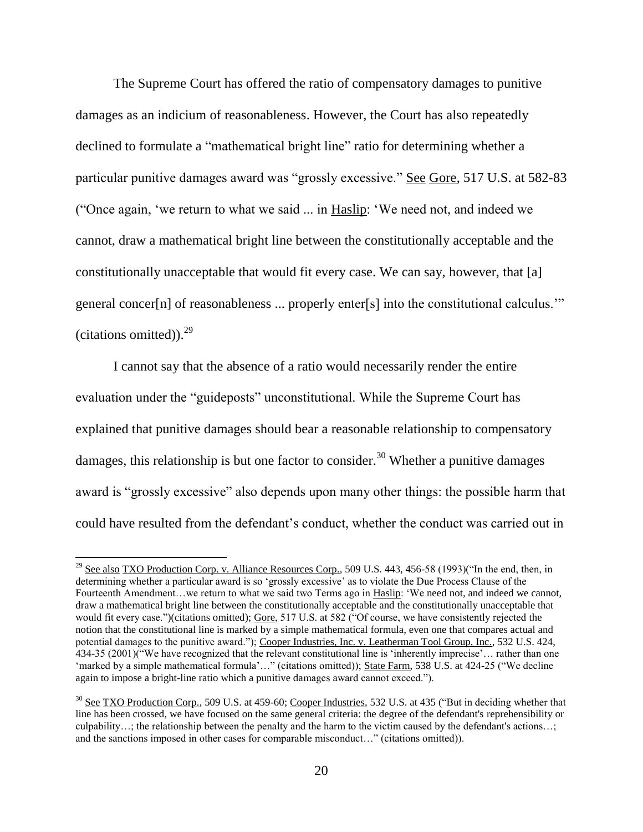The Supreme Court has offered the ratio of compensatory damages to punitive damages as an indicium of reasonableness. However, the Court has also repeatedly declined to formulate a "mathematical bright line" ratio for determining whether a particular punitive damages award was "grossly excessive." See Gore, 517 U.S. at 582-83 ("Once again, 'we return to what we said ... in Haslip: 'We need not, and indeed we cannot, draw a mathematical bright line between the constitutionally acceptable and the constitutionally unacceptable that would fit every case. We can say, however, that [a] general concer[n] of reasonableness ... properly enter[s] into the constitutional calculus.'" (citations omitted)). $^{29}$ 

I cannot say that the absence of a ratio would necessarily render the entire evaluation under the "guideposts" unconstitutional. While the Supreme Court has explained that punitive damages should bear a reasonable relationship to compensatory damages, this relationship is but one factor to consider.<sup>30</sup> Whether a punitive damages award is "grossly excessive" also depends upon many other things: the possible harm that could have resulted from the defendant's conduct, whether the conduct was carried out in

<sup>&</sup>lt;sup>29</sup> See also TXO Production Corp. v. Alliance Resources Corp., 509 U.S. 443, 456-58 (1993)("In the end, then, in determining whether a particular award is so 'grossly excessive' as to violate the Due Process Clause of the Fourteenth Amendment…we return to what we said two Terms ago in Haslip: 'We need not, and indeed we cannot, draw a mathematical bright line between the constitutionally acceptable and the constitutionally unacceptable that would fit every case.")(citations omitted); Gore, 517 U.S. at 582 ("Of course, we have consistently rejected the notion that the constitutional line is marked by a simple mathematical formula, even one that compares actual and potential damages to the punitive award."); Cooper Industries, Inc. v. Leatherman Tool Group, Inc., 532 U.S. 424, 434-35 (2001)("We have recognized that the relevant constitutional line is 'inherently imprecise'… rather than one 'marked by a simple mathematical formula'…" (citations omitted)); State Farm, 538 U.S. at 424-25 ("We decline again to impose a bright-line ratio which a punitive damages award cannot exceed.").

<sup>&</sup>lt;sup>30</sup> See TXO Production Corp., 509 U.S. at 459-60; Cooper Industries, 532 U.S. at 435 ("But in deciding whether that line has been crossed, we have focused on the same general criteria: the degree of the defendant's reprehensibility or culpability…; the relationship between the penalty and the harm to the victim caused by the defendant's actions…; and the sanctions imposed in other cases for comparable misconduct…" (citations omitted)).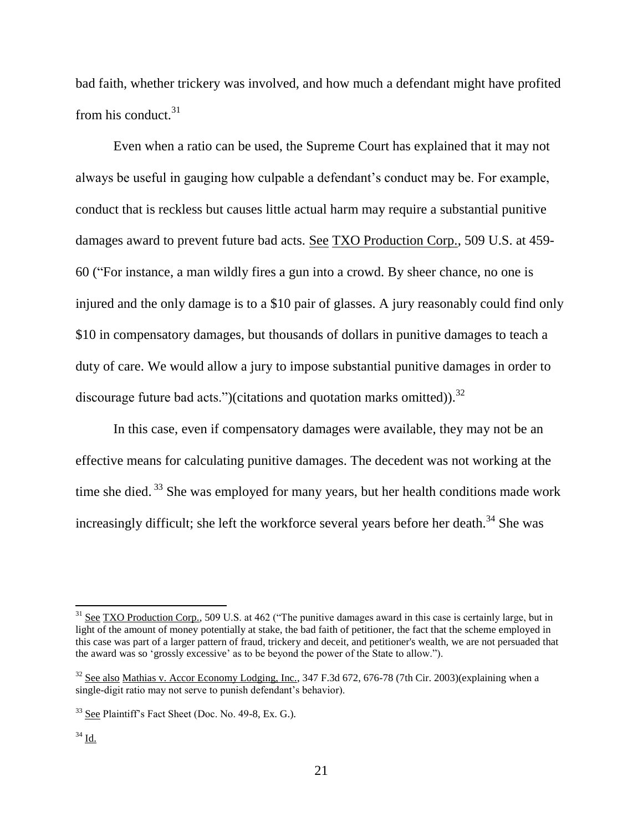bad faith, whether trickery was involved, and how much a defendant might have profited from his conduct. $31$ 

Even when a ratio can be used, the Supreme Court has explained that it may not always be useful in gauging how culpable a defendant's conduct may be. For example, conduct that is reckless but causes little actual harm may require a substantial punitive damages award to prevent future bad acts. See TXO Production Corp., 509 U.S. at 459- 60 ("For instance, a man wildly fires a gun into a crowd. By sheer chance, no one is injured and the only damage is to a \$10 pair of glasses. A jury reasonably could find only \$10 in compensatory damages, but thousands of dollars in punitive damages to teach a duty of care. We would allow a jury to impose substantial punitive damages in order to discourage future bad acts.")(citations and quotation marks omitted)).<sup>32</sup>

In this case, even if compensatory damages were available, they may not be an effective means for calculating punitive damages. The decedent was not working at the time she died.<sup>33</sup> She was employed for many years, but her health conditions made work increasingly difficult; she left the workforce several years before her death.<sup>34</sup> She was

 $\overline{a}$ 

 $31$  See TXO Production Corp., 509 U.S. at 462 ("The punitive damages award in this case is certainly large, but in light of the amount of money potentially at stake, the bad faith of petitioner, the fact that the scheme employed in this case was part of a larger pattern of fraud, trickery and deceit, and petitioner's wealth, we are not persuaded that the award was so 'grossly excessive' as to be beyond the power of the State to allow.").

 $32$  See also Mathias v. Accor Economy Lodging, Inc., 347 F.3d 672, 676-78 (7th Cir. 2003)(explaining when a single-digit ratio may not serve to punish defendant's behavior).

<sup>33</sup> See Plaintiff's Fact Sheet (Doc. No. 49-8, Ex. G.).

 $^{34}$  Id.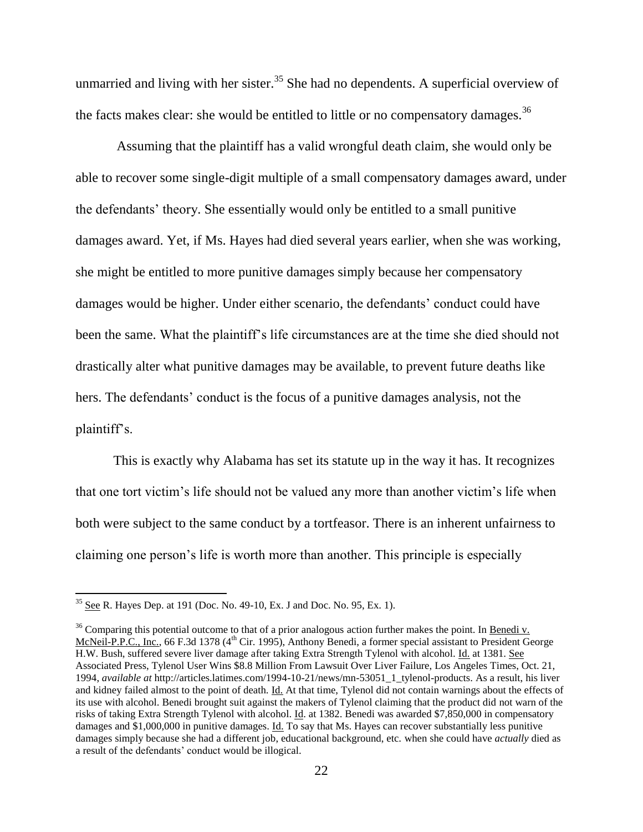unmarried and living with her sister.<sup>35</sup> She had no dependents. A superficial overview of the facts makes clear: she would be entitled to little or no compensatory damages.<sup>36</sup>

Assuming that the plaintiff has a valid wrongful death claim, she would only be able to recover some single-digit multiple of a small compensatory damages award, under the defendants' theory. She essentially would only be entitled to a small punitive damages award. Yet, if Ms. Hayes had died several years earlier, when she was working, she might be entitled to more punitive damages simply because her compensatory damages would be higher. Under either scenario, the defendants' conduct could have been the same. What the plaintiff's life circumstances are at the time she died should not drastically alter what punitive damages may be available, to prevent future deaths like hers. The defendants' conduct is the focus of a punitive damages analysis, not the plaintiff's.

This is exactly why Alabama has set its statute up in the way it has. It recognizes that one tort victim's life should not be valued any more than another victim's life when both were subject to the same conduct by a tortfeasor. There is an inherent unfairness to claiming one person's life is worth more than another. This principle is especially

 $35$  See R. Hayes Dep. at 191 (Doc. No. 49-10, Ex. J and Doc. No. 95, Ex. 1).

<sup>&</sup>lt;sup>36</sup> Comparing this potential outcome to that of a prior analogous action further makes the point. In Benedi v. McNeil-P.P.C., Inc., 66 F.3d 1378 (4<sup>th</sup> Cir. 1995), Anthony Benedi, a former special assistant to President George H.W. Bush, suffered severe liver damage after taking Extra Strength Tylenol with alcohol. Id. at 1381. See Associated Press, Tylenol User Wins \$8.8 Million From Lawsuit Over Liver Failure, Los Angeles Times, Oct. 21, 1994, *available at* http://articles.latimes.com/1994-10-21/news/mn-53051\_1\_tylenol-products. As a result, his liver and kidney failed almost to the point of death. Id. At that time, Tylenol did not contain warnings about the effects of its use with alcohol. Benedi brought suit against the makers of Tylenol claiming that the product did not warn of the risks of taking Extra Strength Tylenol with alcohol. Id. at 1382. Benedi was awarded \$7,850,000 in compensatory damages and \$1,000,000 in punitive damages. Id. To say that Ms. Hayes can recover substantially less punitive damages simply because she had a different job, educational background, etc. when she could have *actually* died as a result of the defendants' conduct would be illogical.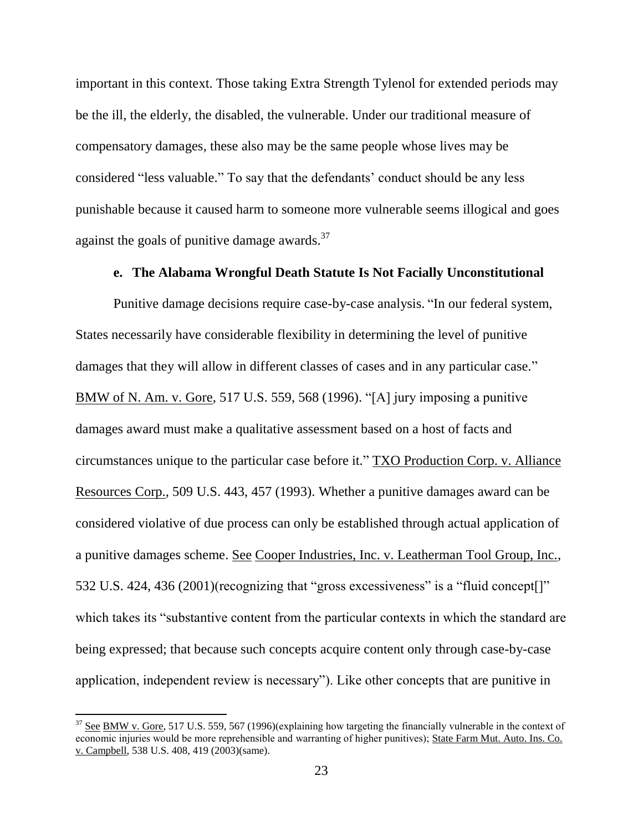important in this context. Those taking Extra Strength Tylenol for extended periods may be the ill, the elderly, the disabled, the vulnerable. Under our traditional measure of compensatory damages, these also may be the same people whose lives may be considered "less valuable." To say that the defendants' conduct should be any less punishable because it caused harm to someone more vulnerable seems illogical and goes against the goals of punitive damage awards.<sup>37</sup>

#### **e. The Alabama Wrongful Death Statute Is Not Facially Unconstitutional**

Punitive damage decisions require case-by-case analysis. "In our federal system, States necessarily have considerable flexibility in determining the level of punitive damages that they will allow in different classes of cases and in any particular case." BMW of N. Am. v. Gore, 517 U.S. 559, 568 (1996). "[A] jury imposing a punitive damages award must make a qualitative assessment based on a host of facts and circumstances unique to the particular case before it." TXO Production Corp. v. Alliance Resources Corp., 509 U.S. 443, 457 (1993). Whether a punitive damages award can be considered violative of due process can only be established through actual application of a punitive damages scheme. See Cooper Industries, Inc. v. Leatherman Tool Group, Inc., 532 U.S. 424, 436 (2001)(recognizing that "gross excessiveness" is a "fluid concept[]" which takes its "substantive content from the particular contexts in which the standard are being expressed; that because such concepts acquire content only through case-by-case application, independent review is necessary"). Like other concepts that are punitive in

 $37$  See BMW v. Gore, 517 U.S. 559, 567 (1996)(explaining how targeting the financially vulnerable in the context of economic injuries would be more reprehensible and warranting of higher punitives); State Farm Mut. Auto. Ins. Co. v. Campbell, 538 U.S. 408, 419 (2003)(same).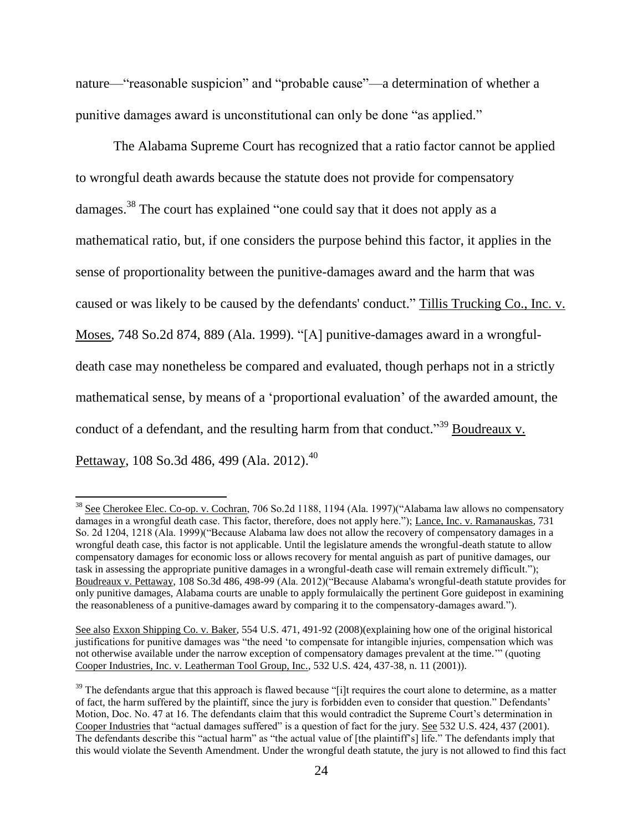nature—"reasonable suspicion" and "probable cause"—a determination of whether a punitive damages award is unconstitutional can only be done "as applied."

The Alabama Supreme Court has recognized that a ratio factor cannot be applied to wrongful death awards because the statute does not provide for compensatory damages.<sup>38</sup> The court has explained "one could say that it does not apply as a mathematical ratio, but, if one considers the purpose behind this factor, it applies in the sense of proportionality between the punitive-damages award and the harm that was caused or was likely to be caused by the defendants' conduct." Tillis Trucking Co., Inc. v. Moses, 748 So.2d 874, 889 (Ala. 1999). "[A] punitive-damages award in a wrongfuldeath case may nonetheless be compared and evaluated, though perhaps not in a strictly mathematical sense, by means of a 'proportional evaluation' of the awarded amount, the conduct of a defendant, and the resulting harm from that conduct."<sup>39</sup> Boudreaux v. <u>Pettaway,</u> 108 So.3d 486, 499 (Ala. 2012).<sup>40</sup>

l

<sup>&</sup>lt;sup>38</sup> See Cherokee Elec. Co-op. v. Cochran, 706 So.2d 1188, 1194 (Ala. 1997)("Alabama law allows no compensatory damages in a wrongful death case. This factor, therefore, does not apply here."); Lance, Inc. v. Ramanauskas, 731 So. 2d 1204, 1218 (Ala. 1999)("Because Alabama law does not allow the recovery of compensatory damages in a wrongful death case, this factor is not applicable. Until the legislature amends the wrongful-death statute to allow compensatory damages for economic loss or allows recovery for mental anguish as part of punitive damages, our task in assessing the appropriate punitive damages in a wrongful-death case will remain extremely difficult."); Boudreaux v. Pettaway, 108 So.3d 486, 498-99 (Ala. 2012)("Because Alabama's wrongful-death statute provides for only punitive damages, Alabama courts are unable to apply formulaically the pertinent Gore guidepost in examining the reasonableness of a punitive-damages award by comparing it to the compensatory-damages award.").

See also Exxon Shipping Co. v. Baker, 554 U.S. 471, 491-92 (2008)(explaining how one of the original historical justifications for punitive damages was "the need 'to compensate for intangible injuries, compensation which was not otherwise available under the narrow exception of compensatory damages prevalent at the time.'" (quoting Cooper Industries, Inc. v. Leatherman Tool Group, Inc., 532 U.S. 424, 437-38, n. 11 (2001)).

 $39$  The defendants argue that this approach is flawed because "[i]t requires the court alone to determine, as a matter of fact, the harm suffered by the plaintiff, since the jury is forbidden even to consider that question." Defendants' Motion, Doc. No. 47 at 16. The defendants claim that this would contradict the Supreme Court's determination in Cooper Industries that "actual damages suffered" is a question of fact for the jury. See 532 U.S. 424, 437 (2001). The defendants describe this "actual harm" as "the actual value of [the plaintiff's] life." The defendants imply that this would violate the Seventh Amendment. Under the wrongful death statute, the jury is not allowed to find this fact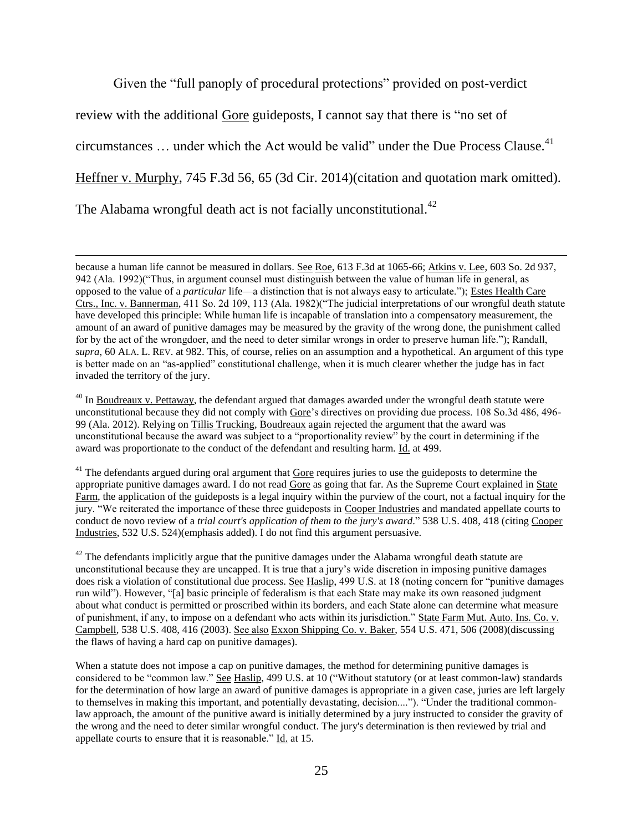Given the "full panoply of procedural protections" provided on post-verdict

review with the additional Gore guideposts, I cannot say that there is "no set of

circumstances  $\ldots$  under which the Act would be valid" under the Due Process Clause.<sup>41</sup>

Heffner v. Murphy, 745 F.3d 56, 65 (3d Cir. 2014)(citation and quotation mark omitted).

The Alabama wrongful death act is not facially unconstitutional.<sup>42</sup>

 $\overline{\phantom{a}}$ 

 $40$  In Boudreaux v. Pettaway, the defendant argued that damages awarded under the wrongful death statute were unconstitutional because they did not comply with Gore's directives on providing due process. 108 So.3d 486, 496- 99 (Ala. 2012). Relying on Tillis Trucking, Boudreaux again rejected the argument that the award was unconstitutional because the award was subject to a "proportionality review" by the court in determining if the award was proportionate to the conduct of the defendant and resulting harm. Id. at 499.

<sup>41</sup> The defendants argued during oral argument that Gore requires juries to use the guideposts to determine the appropriate punitive damages award. I do not read Gore as going that far. As the Supreme Court explained in State Farm, the application of the guideposts is a legal inquiry within the purview of the court, not a factual inquiry for the jury. "We reiterated the importance of these three guideposts in Cooper Industries and mandated appellate courts to conduct de novo review of a *trial court's application of them to the jury's award*." 538 U.S. 408, 418 (citing Cooper Industries, 532 U.S. 524)(emphasis added). I do not find this argument persuasive.

 $42$  The defendants implicitly argue that the punitive damages under the Alabama wrongful death statute are unconstitutional because they are uncapped. It is true that a jury's wide discretion in imposing punitive damages does risk a violation of constitutional due process. See Haslip, 499 U.S. at 18 (noting concern for "punitive damages") run wild"). However, "[a] basic principle of federalism is that each State may make its own reasoned judgment about what conduct is permitted or proscribed within its borders, and each State alone can determine what measure of punishment, if any, to impose on a defendant who acts within its jurisdiction." State Farm Mut. Auto. Ins. Co. v. Campbell, 538 U.S. 408, 416 (2003). See also Exxon Shipping Co. v. Baker, 554 U.S. 471, 506 (2008)(discussing the flaws of having a hard cap on punitive damages).

When a statute does not impose a cap on punitive damages, the method for determining punitive damages is considered to be "common law." See Haslip, 499 U.S. at 10 ("Without statutory (or at least common-law) standards for the determination of how large an award of punitive damages is appropriate in a given case, juries are left largely to themselves in making this important, and potentially devastating, decision...."). "Under the traditional commonlaw approach, the amount of the punitive award is initially determined by a jury instructed to consider the gravity of the wrong and the need to deter similar wrongful conduct. The jury's determination is then reviewed by trial and appellate courts to ensure that it is reasonable." Id. at 15.

because a human life cannot be measured in dollars. See Roe, 613 F.3d at 1065-66; Atkins v. Lee, 603 So. 2d 937, 942 (Ala. 1992)("Thus, in argument counsel must distinguish between the value of human life in general, as opposed to the value of a *particular* life—a distinction that is not always easy to articulate."); Estes Health Care Ctrs., Inc. v. Bannerman*,* 411 So. 2d 109, 113 (Ala. 1982)("The judicial interpretations of our wrongful death statute have developed this principle: While human life is incapable of translation into a compensatory measurement, the amount of an award of punitive damages may be measured by the gravity of the wrong done, the punishment called for by the act of the wrongdoer, and the need to deter similar wrongs in order to preserve human life."); Randall, *supra*, 60 ALA. L. REV. at 982. This, of course, relies on an assumption and a hypothetical. An argument of this type is better made on an "as-applied" constitutional challenge, when it is much clearer whether the judge has in fact invaded the territory of the jury.